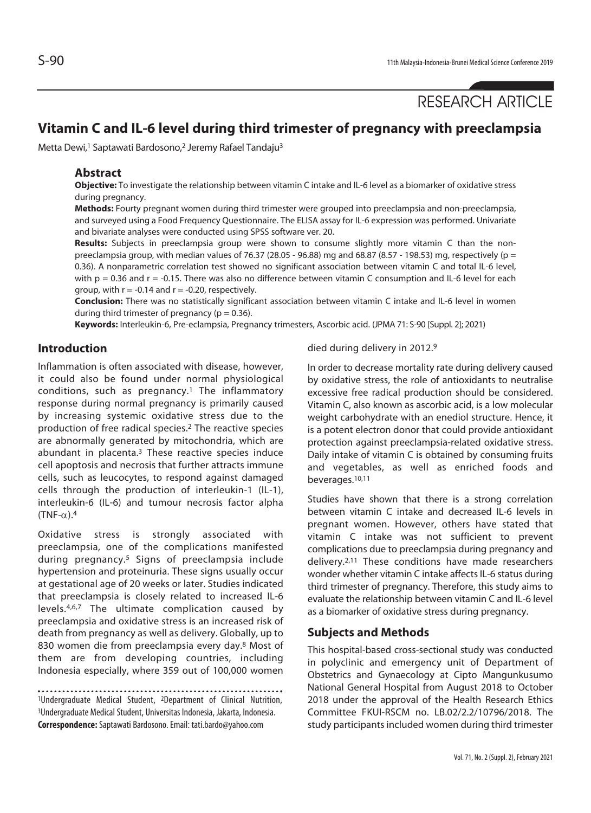RESEARCH ARTICLE

# **Vitamin C and IL-6 level during third trimester of pregnancy with preeclampsia**

Metta Dewi,<sup>1</sup> Saptawati Bardosono,<sup>2</sup> Jeremy Rafael Tandaju<sup>3</sup>

### **Abstract**

**Objective:** To investigate the relationship between vitamin C intake and IL-6 level as a biomarker of oxidative stress during pregnancy.

**Methods:** Fourty pregnant women during third trimester were grouped into preeclampsia and non-preeclampsia, and surveyed using a Food Frequency Questionnaire. The ELISA assay for IL-6 expression was performed. Univariate and bivariate analyses were conducted using SPSS software ver. 20.

**Results:** Subjects in preeclampsia group were shown to consume slightly more vitamin C than the nonpreeclampsia group, with median values of 76.37 (28.05 - 96.88) mg and 68.87 (8.57 - 198.53) mg, respectively (p = 0.36). A nonparametric correlation test showed no significant association between vitamin C and total IL-6 level, with  $p = 0.36$  and  $r = -0.15$ . There was also no difference between vitamin C consumption and IL-6 level for each group, with  $r = -0.14$  and  $r = -0.20$ , respectively.

**Conclusion:** There was no statistically significant association between vitamin C intake and IL-6 level in women during third trimester of pregnancy ( $p = 0.36$ ).

**Keywords:** Interleukin-6, Pre-eclampsia, Pregnancy trimesters, Ascorbic acid. (JPMA 71: S-90 [Suppl. 2]; 2021)

# **Introduction**

Inflammation is often associated with disease, however, it could also be found under normal physiological conditions, such as pregnancy.1 The inflammatory response during normal pregnancy is primarily caused by increasing systemic oxidative stress due to the production of free radical species.2 The reactive species are abnormally generated by mitochondria, which are abundant in placenta.3 These reactive species induce cell apoptosis and necrosis that further attracts immune cells, such as leucocytes, to respond against damaged cells through the production of interleukin-1 (IL-1), interleukin-6 (IL-6) and tumour necrosis factor alpha  $(TNF-\alpha)$ .<sup>4</sup>

Oxidative stress is strongly associated with preeclampsia, one of the complications manifested during pregnancy.5 Signs of preeclampsia include hypertension and proteinuria. These signs usually occur at gestational age of 20 weeks or later. Studies indicated that preeclampsia is closely related to increased IL-6 levels.4,6,7 The ultimate complication caused by preeclampsia and oxidative stress is an increased risk of death from pregnancy as well as delivery. Globally, up to 830 women die from preeclampsia every day.8 Most of them are from developing countries, including Indonesia especially, where 359 out of 100,000 women

1Undergraduate Medical Student, 2Department of Clinical Nutrition, 3Undergraduate Medical Student, Universitas Indonesia, Jakarta, Indonesia. **Correspondence:** Saptawati Bardosono. Email: tati.bardo@yahoo.com

died during delivery in 2012.9

In order to decrease mortality rate during delivery caused by oxidative stress, the role of antioxidants to neutralise excessive free radical production should be considered. Vitamin C, also known as ascorbic acid, is a low molecular weight carbohydrate with an enediol structure. Hence, it is a potent electron donor that could provide antioxidant protection against preeclampsia-related oxidative stress. Daily intake of vitamin C is obtained by consuming fruits and vegetables, as well as enriched foods and beverages.10,11

Studies have shown that there is a strong correlation between vitamin C intake and decreased IL-6 levels in pregnant women. However, others have stated that vitamin C intake was not sufficient to prevent complications due to preeclampsia during pregnancy and delivery.2,11 These conditions have made researchers wonder whether vitamin C intake affects IL-6 status during third trimester of pregnancy. Therefore, this study aims to evaluate the relationship between vitamin C and IL-6 level as a biomarker of oxidative stress during pregnancy.

# **Subjects and Methods**

This hospital-based cross-sectional study was conducted in polyclinic and emergency unit of Department of Obstetrics and Gynaecology at Cipto Mangunkusumo National General Hospital from August 2018 to October 2018 under the approval of the Health Research Ethics Committee FKUI-RSCM no. LB.02/2.2/10796/2018. The study participants included women during third trimester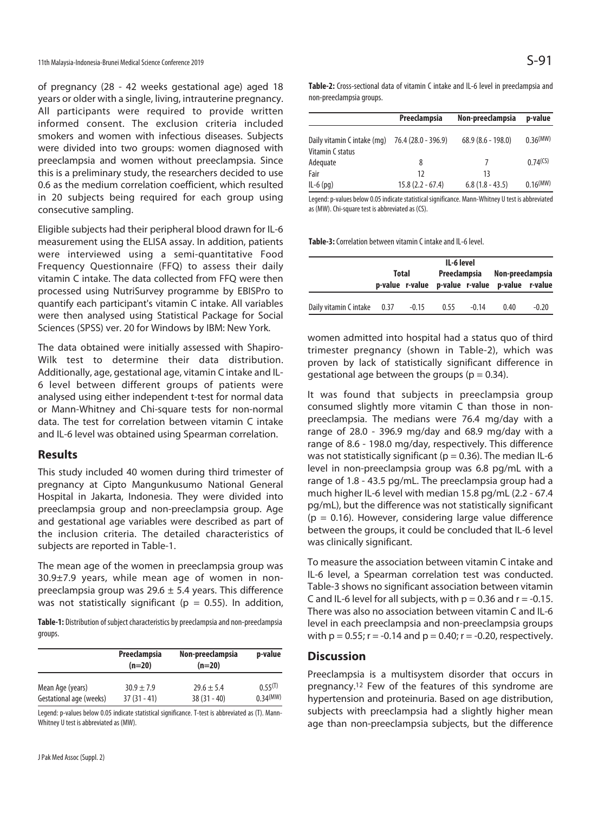of pregnancy (28 - 42 weeks gestational age) aged 18 years or older with a single, living, intrauterine pregnancy. All participants were required to provide written informed consent. The exclusion criteria included smokers and women with infectious diseases. Subjects were divided into two groups: women diagnosed with preeclampsia and women without preeclampsia. Since this is a preliminary study, the researchers decided to use 0.6 as the medium correlation coefficient, which resulted in 20 subjects being required for each group using consecutive sampling.

Eligible subjects had their peripheral blood drawn for IL-6 measurement using the ELISA assay. In addition, patients were interviewed using a semi-quantitative Food Frequency Questionnaire (FFQ) to assess their daily vitamin C intake. The data collected from FFQ were then processed using NutriSurvey programme by EBISPro to quantify each participant's vitamin C intake. All variables were then analysed using Statistical Package for Social Sciences (SPSS) ver. 20 for Windows by IBM: New York.

The data obtained were initially assessed with Shapiro-Wilk test to determine their data distribution. Additionally, age, gestational age, vitamin C intake and IL-6 level between different groups of patients were analysed using either independent t-test for normal data or Mann-Whitney and Chi-square tests for non-normal data. The test for correlation between vitamin C intake and IL-6 level was obtained using Spearman correlation.

#### **Results**

This study included 40 women during third trimester of pregnancy at Cipto Mangunkusumo National General Hospital in Jakarta, Indonesia. They were divided into preeclampsia group and non-preeclampsia group. Age and gestational age variables were described as part of the inclusion criteria. The detailed characteristics of subjects are reported in Table-1.

The mean age of the women in preeclampsia group was 30.9±7.9 years, while mean age of women in nonpreeclampsia group was  $29.6 \pm 5.4$  years. This difference was not statistically significant ( $p = 0.55$ ). In addition,

**Table-1:** Distribution of subject characteristics by preeclampsia and non-preeclampsia groups.

|                         | Preeclampsia<br>$(n=20)$ | Non-preeclampsia<br>$(n=20)$ | p-value  |  |
|-------------------------|--------------------------|------------------------------|----------|--|
| Mean Age (years)        | $30.9 + 7.9$             | $29.6 \pm 5.4$               | 0.55(1)  |  |
| Gestational age (weeks) | $37(31 - 41)$            | $38(31 - 40)$                | 0.34(MW) |  |

Legend: p-values below 0.05 indicate statistical significance. T-test is abbreviated as (T). Mann-Whitney U test is abbreviated as (MW).

**Table-2:** Cross-sectional data of vitamin C intake and IL-6 level in preeclampsia and non-preeclampsia groups.

|                                                 | Preeclampsia        | Non-preeclampsia    | p-value                |  |
|-------------------------------------------------|---------------------|---------------------|------------------------|--|
| Daily vitamin C intake (mg)<br>Vitamin C status | 76.4 (28.0 - 396.9) | $68.9(8.6 - 198.0)$ | 0.36 <sup>(MW)</sup>   |  |
| Adequate                                        | 8                   |                     | $0.74$ (CS)            |  |
| Fair                                            | 12                  | 13                  |                        |  |
| $IL-6$ (pq)                                     | $15.8(2.2 - 67.4)$  | $6.8(1.8 - 43.5)$   | $0.16$ <sup>(MW)</sup> |  |

Legend: p-values below 0.05 indicate statistical significance. Mann-Whitney U test is abbreviated as (MW). Chi-square test is abbreviated as (CS).

**Table-3:** Correlation between vitamin C intake and IL-6 level.

|                             | IL-6 level |         |              |         |                                                 |         |  |  |
|-----------------------------|------------|---------|--------------|---------|-------------------------------------------------|---------|--|--|
|                             | Total      |         | Preeclampsia |         | Non-preeclampsia                                |         |  |  |
|                             |            |         |              |         | p-value r-value p-value r-value p-value r-value |         |  |  |
|                             |            |         |              |         |                                                 |         |  |  |
| Daily vitamin C intake 0.37 |            | $-0.15$ | 0.55         | $-0.14$ | 0.40                                            | $-0.20$ |  |  |

women admitted into hospital had a status quo of third trimester pregnancy (shown in Table-2), which was proven by lack of statistically significant difference in gestational age between the groups ( $p = 0.34$ ).

It was found that subjects in preeclampsia group consumed slightly more vitamin C than those in nonpreeclampsia. The medians were 76.4 mg/day with a range of 28.0 - 396.9 mg/day and 68.9 mg/day with a range of 8.6 - 198.0 mg/day, respectively. This difference was not statistically significant ( $p = 0.36$ ). The median IL-6 level in non-preeclampsia group was 6.8 pg/mL with a range of 1.8 - 43.5 pg/mL. The preeclampsia group had a much higher IL-6 level with median 15.8 pg/mL (2.2 - 67.4 pg/mL), but the difference was not statistically significant  $(p = 0.16)$ . However, considering large value difference between the groups, it could be concluded that IL-6 level was clinically significant.

To measure the association between vitamin C intake and IL-6 level, a Spearman correlation test was conducted. Table-3 shows no significant association between vitamin C and IL-6 level for all subjects, with  $p = 0.36$  and  $r = -0.15$ . There was also no association between vitamin C and IL-6 level in each preeclampsia and non-preeclampsia groups with  $p = 0.55$ ;  $r = -0.14$  and  $p = 0.40$ ;  $r = -0.20$ , respectively.

#### **Discussion**

Preeclampsia is a multisystem disorder that occurs in pregnancy.12 Few of the features of this syndrome are hypertension and proteinuria. Based on age distribution, subjects with preeclampsia had a slightly higher mean age than non-preeclampsia subjects, but the difference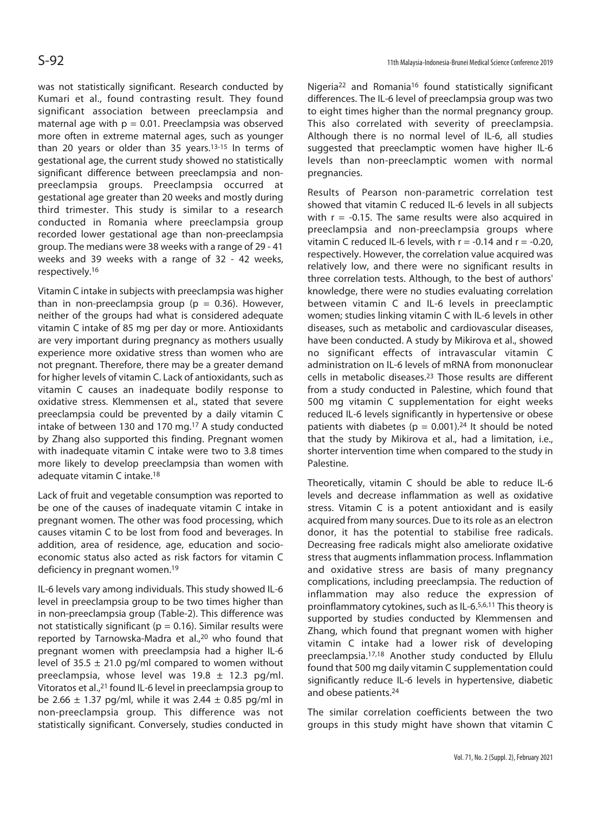was not statistically significant. Research conducted by Kumari et al., found contrasting result. They found significant association between preeclampsia and maternal age with  $p = 0.01$ . Preeclampsia was observed more often in extreme maternal ages, such as younger than 20 years or older than 35 years.13-15 In terms of gestational age, the current study showed no statistically significant difference between preeclampsia and nonpreeclampsia groups. Preeclampsia occurred at gestational age greater than 20 weeks and mostly during third trimester. This study is similar to a research conducted in Romania where preeclampsia group recorded lower gestational age than non-preeclampsia group. The medians were 38 weeks with a range of 29 - 41 weeks and 39 weeks with a range of 32 - 42 weeks, respectively.16

Vitamin C intake in subjects with preeclampsia was higher than in non-preeclampsia group ( $p = 0.36$ ). However, neither of the groups had what is considered adequate vitamin C intake of 85 mg per day or more. Antioxidants are very important during pregnancy as mothers usually experience more oxidative stress than women who are not pregnant. Therefore, there may be a greater demand for higher levels of vitamin C. Lack of antioxidants, such as vitamin C causes an inadequate bodily response to oxidative stress. Klemmensen et al., stated that severe preeclampsia could be prevented by a daily vitamin C intake of between 130 and 170 mg.17 A study conducted by Zhang also supported this finding. Pregnant women with inadequate vitamin C intake were two to 3.8 times more likely to develop preeclampsia than women with adequate vitamin C intake.18

Lack of fruit and vegetable consumption was reported to be one of the causes of inadequate vitamin C intake in pregnant women. The other was food processing, which causes vitamin C to be lost from food and beverages. In addition, area of residence, age, education and socioeconomic status also acted as risk factors for vitamin C deficiency in pregnant women.19

IL-6 levels vary among individuals. This study showed IL-6 level in preeclampsia group to be two times higher than in non-preeclampsia group (Table-2). This difference was not statistically significant ( $p = 0.16$ ). Similar results were reported by Tarnowska-Madra et al.,<sup>20</sup> who found that pregnant women with preeclampsia had a higher IL-6 level of  $35.5 \pm 21.0$  pg/ml compared to women without preeclampsia, whose level was  $19.8 \pm 12.3$  pg/ml. Vitoratos et al.,21 found IL-6 level in preeclampsia group to be 2.66  $\pm$  1.37 pg/ml, while it was 2.44  $\pm$  0.85 pg/ml in non-preeclampsia group. This difference was not statistically significant. Conversely, studies conducted in

Nigeria22 and Romania16 found statistically significant differences. The IL-6 level of preeclampsia group was two to eight times higher than the normal pregnancy group. This also correlated with severity of preeclampsia. Although there is no normal level of IL-6, all studies suggested that preeclamptic women have higher IL-6 levels than non-preeclamptic women with normal pregnancies.

Results of Pearson non-parametric correlation test showed that vitamin C reduced IL-6 levels in all subjects with  $r = -0.15$ . The same results were also acquired in preeclampsia and non-preeclampsia groups where vitamin C reduced IL-6 levels, with  $r = -0.14$  and  $r = -0.20$ , respectively. However, the correlation value acquired was relatively low, and there were no significant results in three correlation tests. Although, to the best of authors' knowledge, there were no studies evaluating correlation between vitamin C and IL-6 levels in preeclamptic women; studies linking vitamin C with IL-6 levels in other diseases, such as metabolic and cardiovascular diseases, have been conducted. A study by Mikirova et al., showed no significant effects of intravascular vitamin C administration on IL-6 levels of mRNA from mononuclear cells in metabolic diseases.23 Those results are different from a study conducted in Palestine, which found that 500 mg vitamin C supplementation for eight weeks reduced IL-6 levels significantly in hypertensive or obese patients with diabetes ( $p = 0.001$ ).<sup>24</sup> It should be noted that the study by Mikirova et al., had a limitation, i.e., shorter intervention time when compared to the study in Palestine.

Theoretically, vitamin C should be able to reduce IL-6 levels and decrease inflammation as well as oxidative stress. Vitamin C is a potent antioxidant and is easily acquired from many sources. Due to its role as an electron donor, it has the potential to stabilise free radicals. Decreasing free radicals might also ameliorate oxidative stress that augments inflammation process. Inflammation and oxidative stress are basis of many pregnancy complications, including preeclampsia. The reduction of inflammation may also reduce the expression of proinflammatory cytokines, such as IL-6.5,6,11 This theory is supported by studies conducted by Klemmensen and Zhang, which found that pregnant women with higher vitamin C intake had a lower risk of developing preeclampsia.17,18 Another study conducted by Ellulu found that 500 mg daily vitamin C supplementation could significantly reduce IL-6 levels in hypertensive, diabetic and obese patients.24

The similar correlation coefficients between the two groups in this study might have shown that vitamin C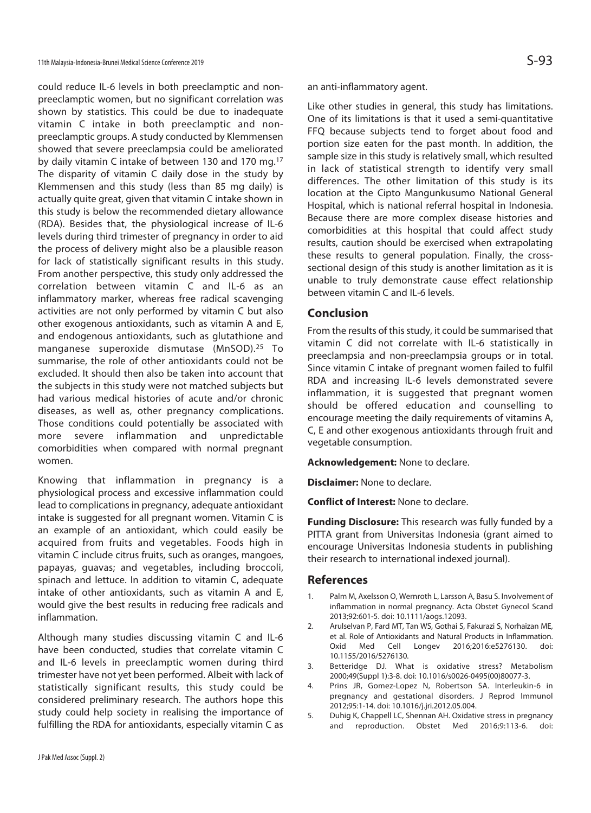could reduce IL-6 levels in both preeclamptic and nonpreeclamptic women, but no significant correlation was shown by statistics. This could be due to inadequate vitamin C intake in both preeclamptic and nonpreeclamptic groups. A study conducted by Klemmensen showed that severe preeclampsia could be ameliorated by daily vitamin C intake of between 130 and 170 mg.17 The disparity of vitamin C daily dose in the study by Klemmensen and this study (less than 85 mg daily) is actually quite great, given that vitamin C intake shown in this study is below the recommended dietary allowance (RDA). Besides that, the physiological increase of IL-6 levels during third trimester of pregnancy in order to aid the process of delivery might also be a plausible reason for lack of statistically significant results in this study. From another perspective, this study only addressed the correlation between vitamin C and IL-6 as an inflammatory marker, whereas free radical scavenging activities are not only performed by vitamin C but also other exogenous antioxidants, such as vitamin A and E, and endogenous antioxidants, such as glutathione and manganese superoxide dismutase (MnSOD).25 To summarise, the role of other antioxidants could not be excluded. It should then also be taken into account that the subjects in this study were not matched subjects but had various medical histories of acute and/or chronic diseases, as well as, other pregnancy complications. Those conditions could potentially be associated with more severe inflammation and unpredictable comorbidities when compared with normal pregnant women.

Knowing that inflammation in pregnancy is a physiological process and excessive inflammation could lead to complications in pregnancy, adequate antioxidant intake is suggested for all pregnant women. Vitamin C is an example of an antioxidant, which could easily be acquired from fruits and vegetables. Foods high in vitamin C include citrus fruits, such as oranges, mangoes, papayas, guavas; and vegetables, including broccoli, spinach and lettuce. In addition to vitamin C, adequate intake of other antioxidants, such as vitamin A and E, would give the best results in reducing free radicals and inflammation.

Although many studies discussing vitamin C and IL-6 have been conducted, studies that correlate vitamin C and IL-6 levels in preeclamptic women during third trimester have not yet been performed. Albeit with lack of statistically significant results, this study could be considered preliminary research. The authors hope this study could help society in realising the importance of fulfilling the RDA for antioxidants, especially vitamin C as

an anti-inflammatory agent.

Like other studies in general, this study has limitations. One of its limitations is that it used a semi-quantitative FFQ because subjects tend to forget about food and portion size eaten for the past month. In addition, the sample size in this study is relatively small, which resulted in lack of statistical strength to identify very small differences. The other limitation of this study is its location at the Cipto Mangunkusumo National General Hospital, which is national referral hospital in Indonesia. Because there are more complex disease histories and comorbidities at this hospital that could affect study results, caution should be exercised when extrapolating these results to general population. Finally, the crosssectional design of this study is another limitation as it is unable to truly demonstrate cause effect relationship between vitamin C and IL-6 levels.

# **Conclusion**

From the results of this study, it could be summarised that vitamin C did not correlate with IL-6 statistically in preeclampsia and non-preeclampsia groups or in total. Since vitamin C intake of pregnant women failed to fulfil RDA and increasing IL-6 levels demonstrated severe inflammation, it is suggested that pregnant women should be offered education and counselling to encourage meeting the daily requirements of vitamins A, C, E and other exogenous antioxidants through fruit and vegetable consumption.

**Acknowledgement:** None to declare.

**Disclaimer:** None to declare.

**Conflict of Interest:** None to declare.

**Funding Disclosure:** This research was fully funded by a PITTA grant from Universitas Indonesia (grant aimed to encourage Universitas Indonesia students in publishing their research to international indexed journal).

#### **References**

- 1. Palm M, Axelsson O, Wernroth L, Larsson A, Basu S. Involvement of inflammation in normal pregnancy. Acta Obstet Gynecol Scand 2013;92:601-5. doi: 10.1111/aogs.12093.
- 2. Arulselvan P, Fard MT, Tan WS, Gothai S, Fakurazi S, Norhaizan ME, et al. Role of Antioxidants and Natural Products in Inflammation. Oxid Med Cell Longev 2016;2016:e5276130. doi: 10.1155/2016/5276130.
- 3. Betteridge DJ. What is oxidative stress? Metabolism 2000;49(Suppl 1):3-8. doi: 10.1016/s0026-0495(00)80077-3.
- 4. Prins JR, Gomez-Lopez N, Robertson SA. Interleukin-6 in pregnancy and gestational disorders. J Reprod Immunol 2012;95:1-14. doi: 10.1016/j.jri.2012.05.004.
- 5. Duhig K, Chappell LC, Shennan AH. Oxidative stress in pregnancy and reproduction. Obstet Med 2016;9:113-6. doi: